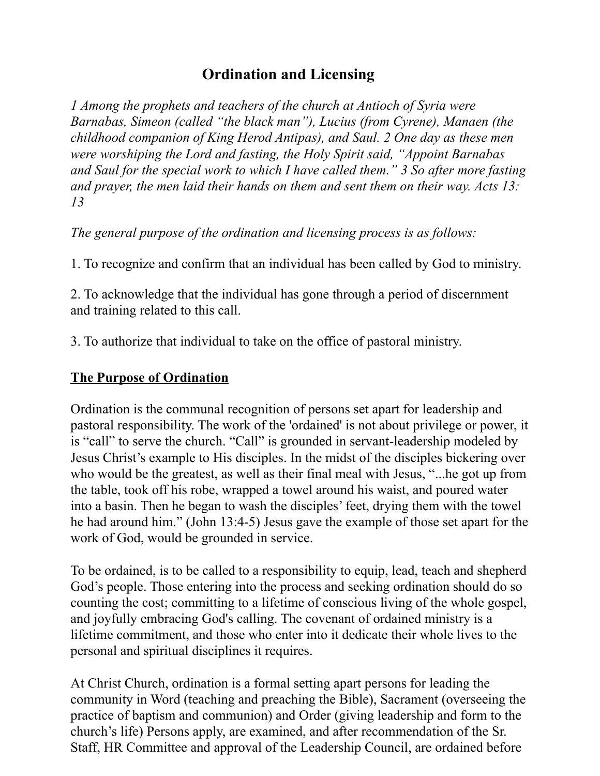## **Ordination and Licensing**

*1 Among the prophets and teachers of the church at Antioch of Syria were Barnabas, Simeon (called "the black man"), Lucius (from Cyrene), Manaen (the childhood companion of King Herod Antipas), and Saul. 2 One day as these men were worshiping the Lord and fasting, the Holy Spirit said, "Appoint Barnabas and Saul for the special work to which I have called them." 3 So after more fasting and prayer, the men laid their hands on them and sent them on their way. Acts 13: 13* 

*The general purpose of the ordination and licensing process is as follows:* 

1. To recognize and confirm that an individual has been called by God to ministry.

2. To acknowledge that the individual has gone through a period of discernment and training related to this call.

3. To authorize that individual to take on the office of pastoral ministry.

#### **The Purpose of Ordination**

Ordination is the communal recognition of persons set apart for leadership and pastoral responsibility. The work of the 'ordained' is not about privilege or power, it is "call" to serve the church. "Call" is grounded in servant-leadership modeled by Jesus Christ's example to His disciples. In the midst of the disciples bickering over who would be the greatest, as well as their final meal with Jesus, "...he got up from the table, took off his robe, wrapped a towel around his waist, and poured water into a basin. Then he began to wash the disciples' feet, drying them with the towel he had around him." (John 13:4-5) Jesus gave the example of those set apart for the work of God, would be grounded in service.

To be ordained, is to be called to a responsibility to equip, lead, teach and shepherd God's people. Those entering into the process and seeking ordination should do so counting the cost; committing to a lifetime of conscious living of the whole gospel, and joyfully embracing God's calling. The covenant of ordained ministry is a lifetime commitment, and those who enter into it dedicate their whole lives to the personal and spiritual disciplines it requires.

At Christ Church, ordination is a formal setting apart persons for leading the community in Word (teaching and preaching the Bible), Sacrament (overseeing the practice of baptism and communion) and Order (giving leadership and form to the church's life) Persons apply, are examined, and after recommendation of the Sr. Staff, HR Committee and approval of the Leadership Council, are ordained before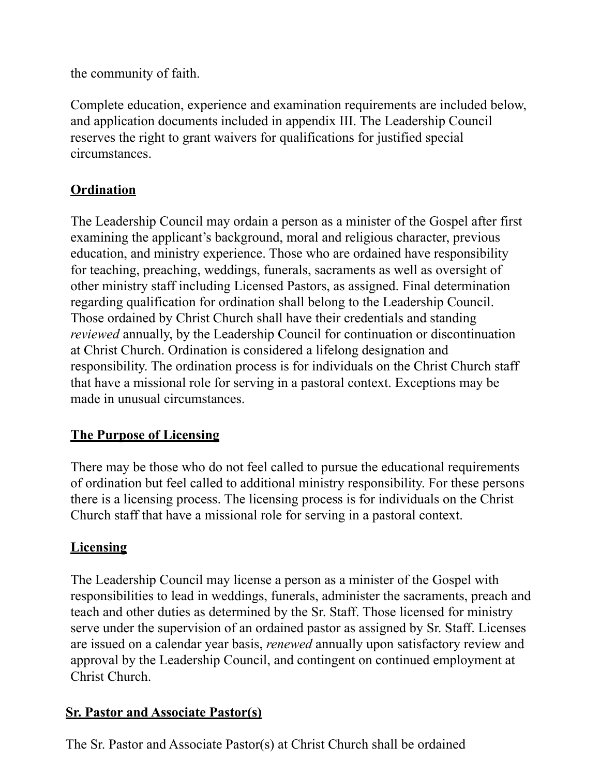the community of faith.

Complete education, experience and examination requirements are included below, and application documents included in appendix III. The Leadership Council reserves the right to grant waivers for qualifications for justified special circumstances.

## **Ordination**

The Leadership Council may ordain a person as a minister of the Gospel after first examining the applicant's background, moral and religious character, previous education, and ministry experience. Those who are ordained have responsibility for teaching, preaching, weddings, funerals, sacraments as well as oversight of other ministry staff including Licensed Pastors, as assigned. Final determination regarding qualification for ordination shall belong to the Leadership Council. Those ordained by Christ Church shall have their credentials and standing *reviewed* annually, by the Leadership Council for continuation or discontinuation at Christ Church. Ordination is considered a lifelong designation and responsibility. The ordination process is for individuals on the Christ Church staff that have a missional role for serving in a pastoral context. Exceptions may be made in unusual circumstances.

## **The Purpose of Licensing**

There may be those who do not feel called to pursue the educational requirements of ordination but feel called to additional ministry responsibility. For these persons there is a licensing process. The licensing process is for individuals on the Christ Church staff that have a missional role for serving in a pastoral context.

## **Licensing**

The Leadership Council may license a person as a minister of the Gospel with responsibilities to lead in weddings, funerals, administer the sacraments, preach and teach and other duties as determined by the Sr. Staff. Those licensed for ministry serve under the supervision of an ordained pastor as assigned by Sr. Staff. Licenses are issued on a calendar year basis, *renewed* annually upon satisfactory review and approval by the Leadership Council, and contingent on continued employment at Christ Church.

## **Sr. Pastor and Associate Pastor(s)**

The Sr. Pastor and Associate Pastor(s) at Christ Church shall be ordained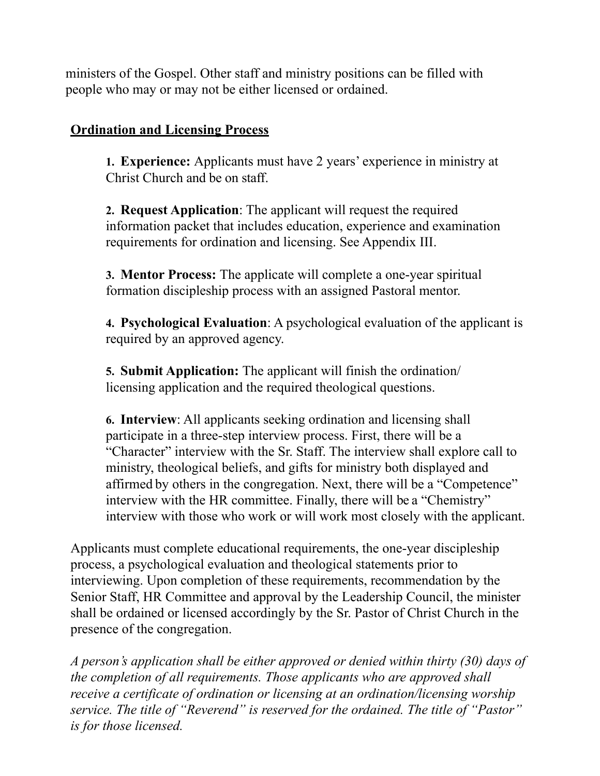ministers of the Gospel. Other staff and ministry positions can be filled with people who may or may not be either licensed or ordained.

#### **Ordination and Licensing Process**

**1. Experience:** Applicants must have 2 years' experience in ministry at Christ Church and be on staff.

**2. Request Application**: The applicant will request the required information packet that includes education, experience and examination requirements for ordination and licensing. See Appendix III.

**3. Mentor Process:** The applicate will complete a one-year spiritual formation discipleship process with an assigned Pastoral mentor.

**4. Psychological Evaluation**: A psychological evaluation of the applicant is required by an approved agency.

**5. Submit Application:** The applicant will finish the ordination/ licensing application and the required theological questions.

**6. Interview**: All applicants seeking ordination and licensing shall participate in a three-step interview process. First, there will be a "Character" interview with the Sr. Staff. The interview shall explore call to ministry, theological beliefs, and gifts for ministry both displayed and affirmed by others in the congregation. Next, there will be a "Competence" interview with the HR committee. Finally, there will be a "Chemistry" interview with those who work or will work most closely with the applicant.

Applicants must complete educational requirements, the one-year discipleship process, a psychological evaluation and theological statements prior to interviewing. Upon completion of these requirements, recommendation by the Senior Staff, HR Committee and approval by the Leadership Council, the minister shall be ordained or licensed accordingly by the Sr. Pastor of Christ Church in the presence of the congregation.

*A person's application shall be either approved or denied within thirty (30) days of the completion of all requirements. Those applicants who are approved shall receive a certificate of ordination or licensing at an ordination/licensing worship service. The title of "Reverend" is reserved for the ordained. The title of "Pastor" is for those licensed.*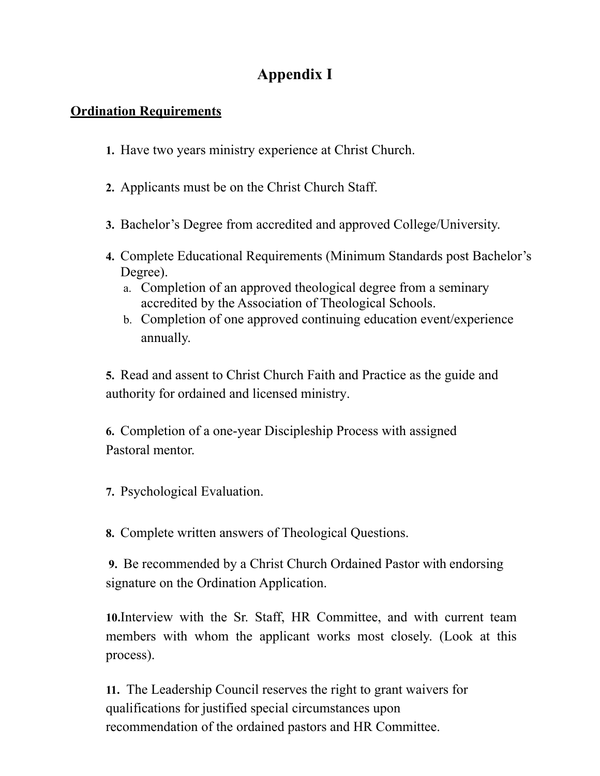## **Appendix I**

#### **Ordination Requirements**

- **1.** Have two years ministry experience at Christ Church.
- **2.** Applicants must be on the Christ Church Staff.
- **3.** Bachelor's Degree from accredited and approved College/University.
- **4.** Complete Educational Requirements (Minimum Standards post Bachelor's Degree).
	- a. Completion of an approved theological degree from a seminary accredited by the Association of Theological Schools.
	- b. Completion of one approved continuing education event/experience annually.

**5.** Read and assent to Christ Church Faith and Practice as the guide and authority for ordained and licensed ministry.

**6.** Completion of a one-year Discipleship Process with assigned Pastoral mentor.

**7.** Psychological Evaluation.

**8.** Complete written answers of Theological Questions.

**9.** Be recommended by a Christ Church Ordained Pastor with endorsing signature on the Ordination Application.

**10.**Interview with the Sr. Staff, HR Committee, and with current team members with whom the applicant works most closely. (Look at this process).

**11.** The Leadership Council reserves the right to grant waivers for qualifications for justified special circumstances upon recommendation of the ordained pastors and HR Committee.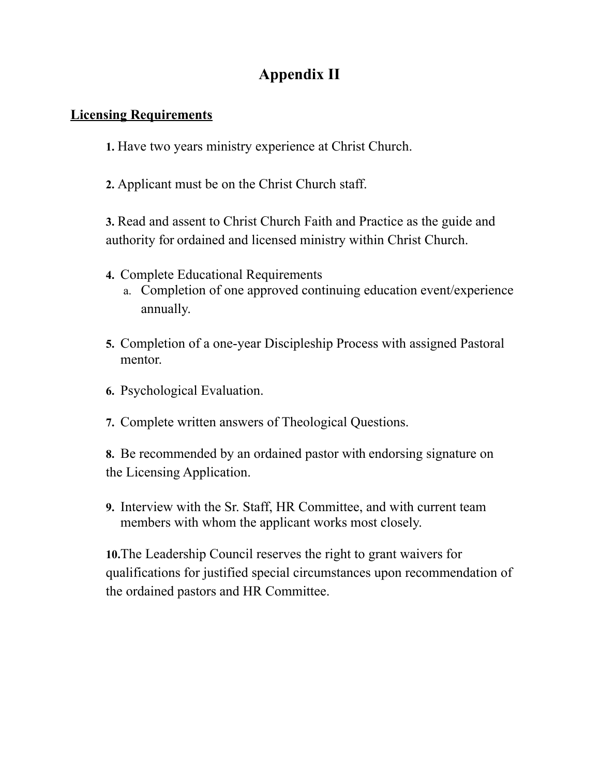## **Appendix II**

#### **Licensing Requirements**

**1.** Have two years ministry experience at Christ Church.

**2.** Applicant must be on the Christ Church staff.

**3.** Read and assent to Christ Church Faith and Practice as the guide and authority for ordained and licensed ministry within Christ Church.

- **4.** Complete Educational Requirements
	- a. Completion of one approved continuing education event/experience annually.
- **5.** Completion of a one-year Discipleship Process with assigned Pastoral mentor.
- **6.** Psychological Evaluation.
- **7.** Complete written answers of Theological Questions.

**8.** Be recommended by an ordained pastor with endorsing signature on the Licensing Application.

**9.** Interview with the Sr. Staff, HR Committee, and with current team members with whom the applicant works most closely.

**10.**The Leadership Council reserves the right to grant waivers for qualifications for justified special circumstances upon recommendation of the ordained pastors and HR Committee.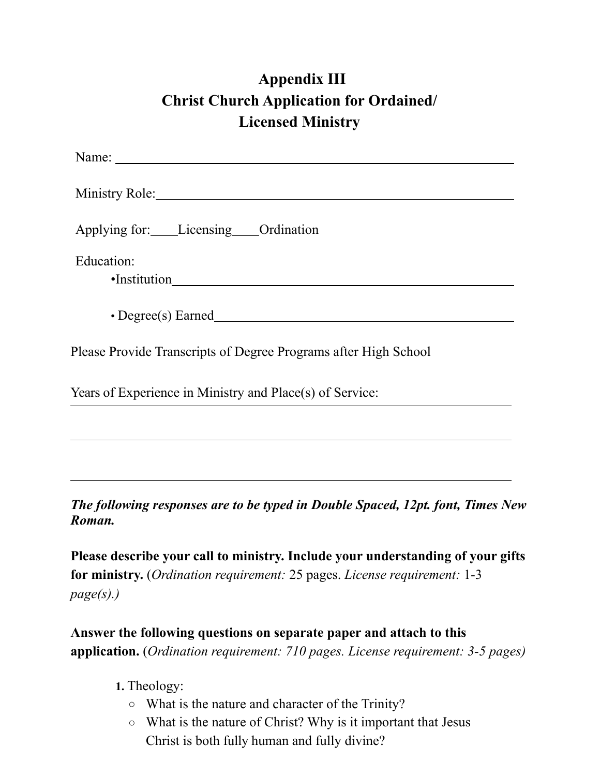# **Appendix III Christ Church Application for Ordained/ Licensed Ministry**

| Ministry Role: New York: New York: New York: New York: New York: New York: New York: New York: New York: New York: New York: New York: New York: New York: New York: New York: New York: New York: New York: New York: New Yor |
|--------------------------------------------------------------------------------------------------------------------------------------------------------------------------------------------------------------------------------|
| Applying for: Licensing Ordination                                                                                                                                                                                             |
| Education:                                                                                                                                                                                                                     |
| $\cdot$ Degree(s) Earned                                                                                                                                                                                                       |
| Please Provide Transcripts of Degree Programs after High School                                                                                                                                                                |
| Years of Experience in Ministry and Place(s) of Service:                                                                                                                                                                       |
|                                                                                                                                                                                                                                |

*The following responses are to be typed in Double Spaced, 12pt. font, Times New Roman.* 

**Please describe your call to ministry. Include your understanding of your gifts for ministry.** (*Ordination requirement:* 25 pages. *License requirement:* 1-3 *page(s).)*

**Answer the following questions on separate paper and attach to this application.** (*Ordination requirement: 710 pages. License requirement: 3-5 pages)*

**1.** Theology:

- What is the nature and character of the Trinity?
- What is the nature of Christ? Why is it important that Jesus Christ is both fully human and fully divine?